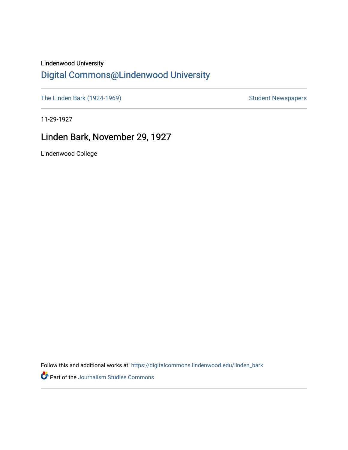## Lindenwood University

## [Digital Commons@Lindenwood University](https://digitalcommons.lindenwood.edu/)

[The Linden Bark \(1924-1969\)](https://digitalcommons.lindenwood.edu/linden_bark) [Student Newspapers](https://digitalcommons.lindenwood.edu/stu-newspapers) Student Newspapers

11-29-1927

## Linden Bark, November 29, 1927

Lindenwood College

Follow this and additional works at: [https://digitalcommons.lindenwood.edu/linden\\_bark](https://digitalcommons.lindenwood.edu/linden_bark?utm_source=digitalcommons.lindenwood.edu%2Flinden_bark%2F635&utm_medium=PDF&utm_campaign=PDFCoverPages)

Part of the [Journalism Studies Commons](http://network.bepress.com/hgg/discipline/333?utm_source=digitalcommons.lindenwood.edu%2Flinden_bark%2F635&utm_medium=PDF&utm_campaign=PDFCoverPages)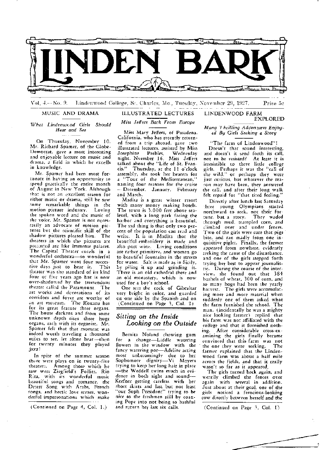

Vol. 4.— No. 9. – Lindenwood College, S., Charles, M.o., Tuesday, November 29, 1927. – – Price 5c

MUSIC AND DRAMA

*What Lindenwood Girls Should Hear and See* 

On Thursday, November 10, Mr. Richard Spamer, of the Globe-Democrat, gave a most interesting and enjoyable lecture on music and drama. a field in which he excells in knowledge.

Mr. Spamer had been most fortunate in having an opportunity to spend practically the entire month of August in New York. Although rb\_a!: *is* not an excellent season for either music or drama, still he saw ~ome remarkable things in the motion picture industry. Loving the spoken word and the music of the voice, Mr. Spamer is not neces carily an advocate of motion pictures but the rcientific skill of the shadow pictures pleased him. The theaters in which the pictures are precented are like immense palaces. The Capital Theater excels in a wonderful orchestra-so wonderful that Mr. Spamer went four successive days just to hear it. This theater was the standard of its kind four or five years ago but is now over-shadowed bv the tremendous theater called the Paramount. The art works and decorations of its corridors and foyer are worthy of an art museum. The Roxana has for *its* great feature three organs, The house darkens and from some unknown depth rises three huge organs, each with its organist. Mr. Spamer felt that that moment was indeed worth traveling a thousand miles to see, let alone hear-then for twenty minutes they played jazz!

In spite of the summer season there were plays on in twenty-five theater;,. Among those which he saw were Ziegfield's Follies, Rio Rita, with its wonderful music beautiful songs and romance, the Desert Song with Arabs, French songs, and hectic love scenes, wonderful impersonations which make

( Continued on Page 4, Col. 1.)

## ILLUSTRATED LECTURES

## *Miss Jeffers Back From Europe*

Miss Mary Jeffers, of Pasadena, California, who has recently returned from a trip abroad, gave two illustrated lectures, assisted by Miss<br>Josephine Peebles, Wednesday Wednesday night, Nvember 16, Miss Jeffers talked about the "Life of St. Fran-<br>cis." Thursday, at the 11 o'clock Thursday, at the 11 o'clock assembly, she took her hearers for a "Tour of the Mediterranean," naming four reasons for the cruise -December, January, February and March.

Madira is a great winter resort with many money making hotels. The town is 3.000 feet above sealevel, with a long park facing the harbor and everything is beautiful. The sid thing is that only two percent of the population can read and write. It is in Madira that the beaur:ful embroidery is made and also port wine, Living conditions are rather primitive, and women go to beautiful fountains in the streets for water. Salt is m2de as in Sicily, by piling it up and grinding it. There is an old cathedral there and an old monastery, which is now used for a boy's school.

One sees the rock of Gibraltar very bright in color, and guarded on ·one side by the Spanish and on (Continued on Page 3, Col. 2)

## *Sitting on the Inside Looking on the Outside*

Bernita Noland chewing gum for a change-Liddle watering flowers in the window with the fancy watering por-Adeline acting most unbecomingly due to her Sophomore dignity-Vi Meyers trying to keep her long hair in place -the Weddelr twins much in evidence in both sight and sound-Keefner getting careless with her short skirts and last but not least "our Soph President" trying to be nice to the freshmen stiII by coaxing Pope into not being so bashful and return her last six calls.

# *JI.I any Thrilling Adventures Enjoy-* . *fd By Girls Seeking a Story*

EXPLORED

LINDENWOOD FARM

"The farm of Lindenwood"! Doesn't that sound interesting. and doesn't it send forth its call, not to be resisted? At least it is irresistible to three little college girls. Perhaps it was the "call of the wild," or perhaps they were just curious, but whatever the reason may have been, they answered the call, and after their long walk felt repaid for "that tired feeling."

Directly after lunch last Saturday : brce young Olympians started northward to seek, not their for-<br>tune, but a story. They waded tune, but a story. through mud, trampled corn, and climbed over and under fences. Two of the girls were sure that pigs bite, and ran madly from one inquisitive piglet. Finally, the farmer appeared from nowhere, evidently 1:eeking the cause of the disturbance, and one of the girJs stepped forth trying her best to appear journalistic. During the course of the interview, she found out that 384 bushels of wheat, 300 of corn, and so many hogs had been the yearly harvest. The girls were accumulating more and more material when suddenly one of them asked what the farm furnished the school. The man, (incidentally he was a mighty nice looking farmer) replied that his farm was not affiliated with the college and that it furnished nothing. After considerable cross-examining the girls finally became convinced that this farm was not the one they were seeking. farmer expfained that the Lindenwood farm was about a half mile across the fields, and that it really wasn't so far as it appeared.

The girls turned back again, and wearily climbed the fences over again with several in addition. Just about at their goal, one of the girls noticed a ferocious-looking cow directly between herself and the

(Continued on Page 3, Col. I)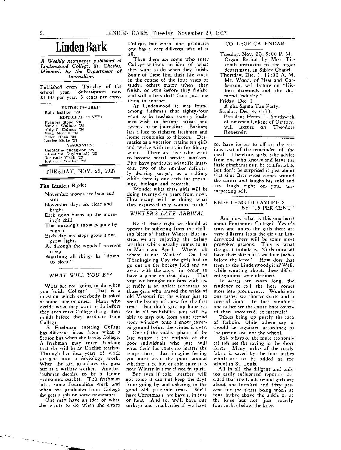# **Linden Bark**

*A Weekly newspapf!r published at Lindenwood College, St. Charles, Missouri,* by *the Department* of *Journalism.* 

Published every Tuesday of the school year. Subscription rate. \$ 1.00 per year, 5 cents per copy.

EDITOR-IN-CHIEF, Ruth Bullion '29 EDITORIAL STAFF: Frances Stone <sup>\*28</sup><br>Marcia Wallace '30<br>Abigail Holmes '30<br>Mary Merrill '30<br>Helen Hook '29<br>Louise Blake '31 ASSOCIATES: Geraldine Thompson '28 Elizabeth J{uykcndall '28 Gertrude ,v!:'!Jh '28 Ratbryn "'alker '28

TUESDAY, NOV. 29, 1927

#### **The Linden Bark:**

- November woods are bare and still
- November days are dear and bright,
- Each noon burns up the morning's chill,

The morning's snow is gone by night;

- Each day my steps grow slow, grow light,
- As through the woods I reverent creep
- Watching all things lie "down to sleep."

#### *WHAT WILL YOU BE?*

What are you going to do when<br>an finish College? That is a you finish College? question which everybody is asked at some time or other. Many who decide what they want to do before they even enter College change their minds before they graduate from College.

A Freshman entering College has different ideas from what a Senior has when she leaves College. A fre5.hman may enter thinking that she will be an English teacher. Through her four years of work she gets into a Sociology work. When the girl graudates she goes out as a welfare worker. Another freshman decides to be a Home Economics teacher. This freshman takes some Journalism work and when she graduates from College she gets a job on some newspaper.

One may have an idea of what she wants to do when she enters

Portugal

College. but when one graduates one has a very different idea of it all.

Then there are some who enter Coliege without an idea of what they want to do when they finish. Some of these find their life work in the course of the four years of study: others marry when they finish. or even before they finish; and still others drift from just one thing to another.

At Lindenwood it was found among freshmen that eighty-four want to be teachers. twenty freshmen wish to become artists and twenty to be journalists. Business has a lure to eighteen freshmen and home economics to thirteen. Dramatics as a vocation retains ten girls and twelve wish to train for library work. There are five who want to become social service workers. Five have particular scientific interests, two of the number definitely desiring surgery as a calling. while there is one each for psycology, biology and research.

Wonder what these girls will be doing twenty-five years from now. How many will be doing what they expressed they wanted to do?

## *WINTER'S LATE ARRIVAL*

By all that's right we should at present be suffering from the chilling blast of Father Winter. Bue instead we are enjoying the balmy weather which usually comes to us<br>in March and April. Where, oh in March and April. Where, oh where, is our Winter? On last Thanksgiving Day the girls had to go out on the hockey field and do away with the snow in order to have a game on that day. This year we brought our fans with us. It really is an unfair advantage to those girls who braved the wilds of old Missouri for the winter just to see the beauty of snow for the first time. But don't give up hope yet for in all probability you will be able to step out from your second story window onto a snow covered ground before the winter is over.

One of the saddest phase: of the late winter is the outlook of the poor individuals who just will wear their fur coats no matter the temperature. Just imagine feeling you must wear the poor animal whether it be hot or cold since it is now Winter in time if not in spirit.

But even if cold weather will not come it can not keep the days from going by and ushering in the good old yule-tide time. We'll have Christmas if we have it in furs or fans. And to, we'll have our turkeys and cranberries if we have

COLLEGE CALENDAR

- Tuesday, Nov. 29, 5 :00 P. M. Organ Recital by Miss Titcomb instructor of the organ department, in Sibley Chapel.
- Thursday, Dec. I, 11 :00 A. M. Mr. Wood. of Hess and Culbertson, will lecture on "Historic diamonds and the diamond Industry!'

## Friday, Dec. 2,

- Alpha Sigma Tau Party.
- Sunday, Dec. 4, 6:30. President Henry L. Southwick of Emerson College of Oratory, will lecture on Theodore Roosevelt,

to, have ice-tea to off set the serious heat of the remainder of the meal. Therefore, girls, take advice from one who knows and leave the little ginghams out, be comfortable, but don't be surprised if just about ,+,at time Brer Frost comes around the corner and laughs his cold and icey laugh right on- your unsurpecting self.

#### KNEE LENGTH FAVORED BY "15 PER CENT"

And now what is this one hears about Fontbonne College? Yes it's true, and unless the girls there are very different from the girls at Lindenwood there will be some most provoked persons. This is what the great trobule is, "Girls must alI have their skirts at least four inches below the knee." How does that seem co the Lindenwoodgirls?Well, while scouting about, these different opinions were obtained.

If skirts are worn long, the tendency to roll the hose comes more into prominence. Would not one rarher see shorter skirts and a covered limb? In fact wouldn't one rather see the entire knee covered than uncovered, at intervals?

Others bring up purely the idea of fashoin, while others say it r.hould be regulated accordincg to the person and not the school.

Still others of the more economical side see the saving in the short skirts. Many inches af the costly fabric is saved by the four inches which are to be added at the school in St. Louis.

All in all, the diligent and only too easily influenced reporter de*cided* that the Lindenwood girls are about one hundred and fifty percent for the skirts being worn at four inches above the ankle or at the knee but not just exactly four inches below the knee.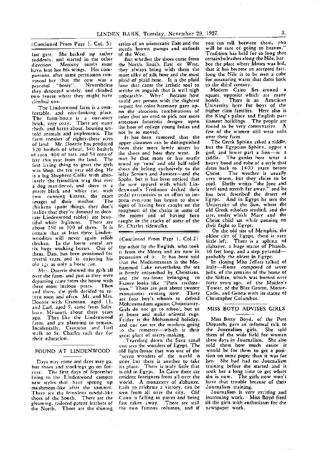last gate. She backed up rather of the West.<br>suddenly and started in the other But whether the shoes come from certain bulrushes along the Nile, harsuddenly, and started in the other But whether the shoes come from certain bulrushes along the Nile, har-<br>direction. Mercury surely must the North, South, East or West, bor the place where Moses was hid, have lent her his wings. Her com- they always bring with them the that it has become an accepted fact.<br>panions, after some persuasion con- most silky of silk hose and the most long the Nile is to be seen a cube panions, after some persuasion con- most silky of silk hose and the most long the Nile is to be seen a cube<br>vinced her that the cow was a plaid of plaid hose. It is the plaid for measuring water that dates back peaceful "bossy". Nevertheless hose that cause the artistic soul to to the third century. they detoured widely, and climbed writhe in anguish that is well nigh Modern Cairo lies around a<br>two fences where they might have unbearable. Why? Because how square, opposite which are many two fences where they might have unbearable. Why? Because how square, opposite which are many<br>climbed one, the could any person with the slightest hotels. There is an American

fcrtable, and nice-looking place. on the atrocious combinations of higher class families. Here also is birck, very cozy. There are many<br>sheds, and barns about, housing un-<br>told apimals and implements. The not be so moved. The second of the women still wear veils told animals and implements. The not be so moved. The section of the world is the solution of the world form s<br>farm songiets of eighty-three acres of this been rumored that the over their faces. is a big Shepherd-Collie with abso- lofty Seniors and Juniors-and the<br>lutely the friendliest wag that ever Sophs, but it has been noticed that  $\frac{1}{250}$  contracts about 250 constant  $\frac{1}{250}$  St. Charles sidewalks. their flight to Egypt.<br>  $\frac{1}{250}$  contracts the state of Memphis, the certain that at least three Linden-<br>woodites will never again relish accurational Prom Dags 1, C-1.2) oldest city of Egypt, there is very woodites will never again relish (Continued From Page 1, Col.2) oldest city or rigypt, there is very<br>chicken. In the horse corral are<br>six huge working horses. One of the other by the English, who took alabaster, a huge sta them, Dan, has been pensioned for it from the Moors and are now in 30 feet long, and a step pyramid-<br>coveral varies and is enjoying his possession of it. It has been said, probably the oldest in Egypt. several year, and is enjoying his possession of it. It has been said probably the oldest in Egypt.<br>several years, and is enjoying his that the Mediterranean is the Mo- In closing Miss Jeffers talked of

departing came from the house with<br>three most lucious pears. Then<br>and there, the girls decided to re-<br>and there, the girls decided to re-<br>monasteries existing now. There Carlo, and Genoa with its statue of and there, the girls decloed to te-<br>turn soon and often. Mr. and Mrs. are four boy's schools to defend Christopher Columbus.<br>Doerrie with Cranston, aged 11, Makaging-dignation Christianism turn soon and often. Mr. and Mrs.<br>Doerrie with Cranston, aged 11,<br>and Earl. aged 9. came from Salisbury, Missouri, about three years ago. They like the Lindenwood ~:iJ:;:s ~~~ ~~~:m%~e;t~~If;:;: Incidentally, Cransion and Earl and one can see the mothers<br>walk to St. Charles each day for the cemetery--which is<br>their education.

#### FOUND AT LINDENWOOD

Days may come and days may go, but shoes and stockings go on for- €ver. The first days of September bring to the Lindenwood campus new styles that have sprung up mushroom-like after the summer. There are the frivolous sandal-like shoes of the South. There are the gleaming, tailored patent leathers of the North. There are the shining

(Continued From Page 1, Col. 3) satins of an aristocratic East and the you can roll between them, you sturdy brown pumps and oxfords will be sure of going to heaven."<br>of the West. Tradition has held for so long that

the North, South, East or West, bor the place where Moses was hid, they always bring with them the that it has become an accepted fact. vinced her that the cow was a plaid of plaid hose. It is the plaid for measuring water that dates back cimbed one.<br>The Lindenwood farm is a com- respect for color harmony gaze up- University here for boys of the The Lindenwood farm is a com- respect for color harmony gaze up- University here for boys of the<br>trable and nice-looking place, on the atrocious combinations of higher class families. Here also is The farm-hou::e is a one-story color that are m:ed to pick out more the King's palace and English parbrick, very cozy. There are many atrocious futuristic designs upon liament buildings. The people are

farm consists of eighty-three acres The has been rumored that the over their faces.<br>Of land The Doestie has produced upper classmen can be distinguished The Greek Sphinx asked a riddle, of land. Mr. Doerrie has produced upper classmen can be distinguished The Greek Sphinx asked a riddle,<br>5.20 hashels of whear, 3.40 hashels from their more lowly sisters by but the Egyptian Sphinx, upper a 520 bushels of wheat, 340 bushels from their more lowly sisters by but the Egyptian Sphinx, upper a<br>present 400 of oats and 50 tons of the shoes and hose they wear. It god, and lower part a lion—is a of corn, 400 of oats, and 50 tons of the shoes and hose they wear. It god, and lower part a lion-is a<br>bay this wear from the land. The may be that more or less neatly riddle. The guides here wear a hay this year from the land. The may be that more or less neatly riddle. The guides here wear a<br>first living thing to greet the girls sewed up 'runs' and old half-soled heavy hood and robe of a style that first living thing to greet the girls sewed up 'runs' and old half-soled heavy hood and robe of a style that mst itving ting to great the shep shoes do belong exclusively to the dates back to 1400 years before<br>was Shep, the ten year old dog. He shoes lofty Seniors and Juniors—and the Christ. The weather is usually a dog manifested, and there is a the new apparel with which Lin- cool. Shelly writes "the lone and<br>a dog manifested, and there is a the new ood's Freshmen decked their level sand stretch far away," and he pretty black and white cat, with denwood's Freshmen decked their level sand stretch far away, and he<br>two cunning kittens, the exact, pedal-extremities in an effort to im- has best described the desert of two cunning kittens, the exact pedal extremities in an effort to im- has best described the desert of in the summing mother. The press everyone has begun to show Egypt. And in Egypt he sees the<br>chickens (none things, they don't signs of having been caught on the University of the Sun, where the chickens (poor things, they don't signs of having been caught on the University of the Sun, where the<br>realize that they're doomed to deco- roughness of the chairs in some of old Greek scholars studied, and the realize that they're doomed to deco- roughnes: of the chairs in some of old Greek scholars studied, and the<br>rate Lindenwood tables) are bean- the rooms and of having been tree, under which Mary and the rate Lindenwood tables) are beau- the rooms and of having been tree, under which Mary and the tiful white leghorns. There are caught in the cracks of some of the Christ child sat while pausing on

old a.gc as only a horse can.<br>old a.gc as only a horse can.<br>hammed Lake nevertheless the sea Italy—Rome composed of seven Mr::. Doerrie showed the girls all hammed Lake nevertheless the sea Italy-Rome composed of seven over the farm, and just as they were in firmly entrenched by Christians. hills, of the remains of the home of over the farm, and just as they were and the sea-front belonging to the Sultan, which was burned over Mohammedism against Christianity,<br>Girls do not go to school, but sit<br>at honse and make oriental rugs. and one can see the mothers going<br>to the cemetery---which is their

> Traveling down the Suez canal one sees the wonders of Egypt. The old light-house that was one of the ''seven wonders of the world is gone but there is another to take<br>its place. There is truly little that There is truly little that is old in Egypt. In Cairo there are resident foreigners from all over the world. A monastery of alabaster,<br>Eailt to celebrate a victory, can be seen from all over the city. Old Cairo is falling to pieces and being fast taken away. There are still the two famous. columns, and if

very warm, but they claim to be<br>cool. Shelly writes "the lone and

#### MISS BOYD ADVISES GIRLS

Miss Betty Boyd, of the Post Dispatch, gave an informal talk to the Journalism girls. She told them of the wide field for women these days in Journalism. She also told them how much easier it would be for them to get a position on some, paper than it was for her. She had had no Journalism training before she started and it took her a long time to get where she is now. The girls now won't have that trouble because of their Journalism training.

Journalism is very exciting and interesting work. Miss Boyd fired all the girls with enthusiasm for the newspaper work.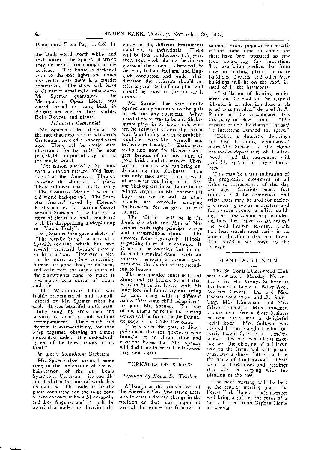#### (Continued From Page 1. Col. 1)

the Underworld worth while, and that horror, The Spider, in which they do more than enough to the audience. The house is darkened even to the exit lights and down the center aisle there is a murder committed. The show will leave one's nerves absolutely unbalanced, Mr. Spamer guarantees. The Metropolitan Opera House was dosed, for all the song birds in Augnst are out in their yachts, Rolls Royces. and planes.

#### *Schubert's Centennial*

Mr. Spamer called attention to the fact chat next year *is* Schubert's Centennial, he died a hundred years ago. There will be world wide observance, for he made the most remarkable output of any man in the music world.

The season opened *in* St. Louis with a motion picture "Old Iron~ sides," at the American Theater, showing the shortage of plays. There followed that lovely thing "The Countess Meritza" with its old world background, "The Shanghai Gesture'' saved by Florence Reed's acting, the terrible George White's Scandals, "The Barker," a story of circus life, and Leon Errol with his disappearing underpinning in "Yours Truly".

Mr. Spamer then gave a sketch of "The Cradle Song'', a play of a Spanish convent which has been severely criticized because there is so little action. However a play can be about anythng concerning human life good. bad, or different. and only need the magic touch of the playwrights hand to make it presentable as a mirror of nature and life.

The Westminister Choir was highly recommended and complimented by Mr. Spamer when he said, "It was beautiful music beautifully sung, by sixty men and women by memory and without accompaniment. Their pitch and rhythm is extra-ordinary, for they keep together, obeying an almost motionless leader. It is undoubtedly one of the finest choirs of its kind."

#### *St. Louis Symphony Orchestra*

Mr. Spamer then devoted some time to the explanation of the rehabilitation of the Sr. Louis Symphony Orchestra. He ruefully admitted that the musical world has its politics. The leader to he the guest conductor for the next four or five concerts is from Minneapolis and Los Angeles, and it will be noted that under his direction the

 $\sim$  and  $\sim$ 

voices of the different instruments<br>stand out as individuals There stand out as individuals. will be four conductors, this year, every four weeks during the sixteen weeks of the season. There will be German, Italian, Holland and Engglish conductors and under their direction the orchestra should receive a great deal of discipline and should be raised to the pinacle it deserves.

Mr. Spamer then very kindly opened an opportunity to the girls to ask him any questions. When asked if there was to be any Shakespeare plays in St. Louis this winter, he answered sarcastically that it was "a sad thing but there probably would be, with *Mr.* Mantell and his wife in Hamlet". Shakespeare spells ruin now for theater managers, because of the misleading of jazz, bridge and the movies, There are, no audiences who can bring understanding into playhuses. You can only take away from a work of art what you bring to it. Seeing Shakespeare in St. Louis in the winter, inspires in Mr. Spamer the hope that we as well as other echools are correctly studying Shakespeare. for he gives *us* true culture.

The "Elijah" will be in St. Louis the 29th and 30th of November with eight principal voices and a tremenduous chorus. The director from Springfield, Illinois, is putting them all in costume. It is not to be colorless but in the form of a musical drama with an enormous amount of action-perhaps even the chariot of fire ascending to heaven.

The next question concerned Fred Stone and *his* hearers learned that he is to be in St. Louis with his long legs and funny sayings, using the same thing with a different name, "the same child rebaptized" to quote Mr. Spamer. The rest of the drama news for the coming season will be found on the Dramatic page in the Globe-Democrat.

It was with the greatest disappointment that the questions were brought to an abrupt close and everyone hopes that Mr. Spamer will find time to he at Lindenwood very soon again.

#### FURNACES ON ROOFS?

#### *Opinion bif Home Ee. Teacher*

Although at the convention of the American Gas Association there was forecast a decided change in the position of that most important part of the home----the furnace----it-

cannot become popular nor practical for some time to come, for there have been prepared so few facts concerning this inovation. The association predicts that from now on heating plants in office buildings, theaters. and other large buildings will be on the roofs instead of in the basements.

"Installation of heating equipment on the roof of the Capital Theater in London has done much to advance the idea," declared A. A. Philips of the consolidated Gas Company of New York. "The  $\frac{1}{2}$  imperity of the  $\frac{1}{2}$  term  $\frac{1}{2}$  change." he said 'is increasing demand for space.'

"Cellats in domestic dwellings are fact becoming eliminated," states Miss Stewart, of the Home Economics. department of Lindenwood, "and the movement will prointly spread to larger buildings."

This may be a true indication of the progressive movement in all Le:ds *so* characteristic of this day and age. Certainly many fuel uo.ib!es will be eliminated and cellar space may be used for parlors and smoking rooms in theaters, and fer stcrage rooms in office buildings, but one cannot help wondering hew they expect to get around the well known scientific truth that heat travels most easily in an uoward direction rather than down. This problem we assign to the . rientist.

#### PLANTING A LINDEN

The St. Louis Lindenwood Club was en:ertaimd, Monday, November 7, by Mrs. George Sullivan at her beautiful home on Baker Ave.. Webhter Groves. Dr. and Mrs. Roemer were away, and Dr. Stuml:ng, Miss Linneman, and *Miss*  2chaper attended. Mirs Linneman rc;orts- that cftcr a short business me¤ring there was a delightful rocial hour. Mrs. Sullivan was acs, sted by her daughter who formerly taught Spanish at Lindenwood. The big event of the meeting wa: the planting of a Linden tree on the lawn, and each person attributed a shovel full of earth in the name of Lindenwood. There were vocal selections and readings that were in keeping with the planting of the tree.

The next meeting will be held at the regular meeting place, the Forest Park Hotel. Each member will bring a gift in the form of a *toy* to be sent to an Orphan Home or hospital.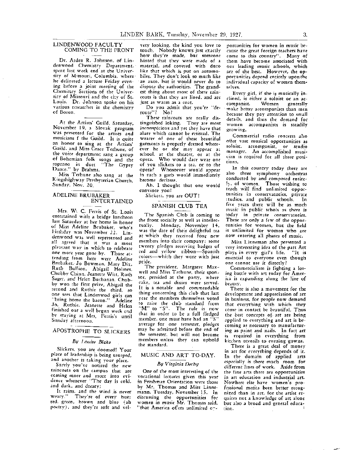#### LINDENWOOD FACULTY COMING TO THE FRONT

Dr. Arden R. Johnson, of Lindenwood Chemistry Department. spent last week end at the University of Missouri, Columbia, where he delivered a lecture Friday evening before a joint meeting of the Chemistry Sections of the University of Missouri and the city of St. Louis. Dr. Johnson spoke on his various reseatches in the chemistry of Boron.

At the Artists' Guild, Saturday, November 19, a Slovak program was presented for the artists and musicians f the Guild. It is quite an honor to sing at the Artists' Guild, and Miss Grace Terhune, of the voice department sang a group of Bohemian folk songs and the soprano in duet "The Gypsy Dance." by Brahms.

Miss Terhune also sang at the Kingshighway Presbyterian Church, Sunday, Nov. 20.

#### ADELINE BRUBAKER ENTERTAINED

Mrs. W. C. Ferris of St. Louis entertained with a bridge luncheon last Saturday at her home in honor of Miss Adeline Brubaker, who's birthday was November 22. Lindenwood was well represented and al1 agreed that it was a most pleatant way in which to celebrate one more year gone by. Those attending from here were Adeline Brubaker,-Jo Bowman, Mary Dix, Ruth Bullion, Abigail Holmes, Chubby Chinn, Jeanette Witt, Ruth Sager, and Helen Buchanan. Chubby won the first prize, Abigail the second and Ruthie the third, so one sees that Lindenwod girls can \*'bring home the bacon." Adeline Jo, Ruthie, Jeanette and Helen finished out a well begun week end by staying at Mrs. Ferris's until Sunday afternoon.

#### APOSTROPHE TO SLICKERS

#### *By Louise Blake*

Slickers, you are doomed! Your place of leadership is being usurped, and another is taking your place.

Surely you've noticed the new raincoats on the campus that are ccming more and more into evidence whenever "The day is cold, and dark, and dreary;

It rains, and the wind is never weary." They're of every hue; red, green, brown and blue (ah poetry), and they're soft and vel-

vety looking, the kind you love to touch. Nobody knows just exactly how they're made, but someone hinted that they were made of a material, and covered with duco like that which is put on automobiles. They don't look so much like an auto, but it would never do to dispute the authorities. The grandest thing about most of these raincoats is that they are lined, and are just as warm as a coat.

Do you admit that you're "deroute"? No?

These raincoats are really distinguished loking. inconspicious and yet they have that alure which cannot be resisted. The wearer of one of these beautiful garments is properly dressed whereever he or she may appear at school, at the theater, or at the opera. Who would dare wear one of you slickers to a tea, or to the<br>opera? Whosoever would appear Whosoever would appear in such a garb would immediately become declasse,

Ah, I thought that one would convince you!

### Slickers, you are OUT!

#### SPANISH CLUB TEA

The Spanish Club is coming to the front socially as well as intellectually. Monday, November 14. Monday, November 14, was the date of their delightful tea at which they received four new members into their company; some twenty pledges receiving badges of red and. yellow ribbon-Spanish colors-which they wore with just pride.

The president, Margaret Maxwell and Miss Terhune, their sponsor, presided at the party, where cake, tea and dixies were served. It is a notable and commendable thing conccming this dub that last year the members themselves voted to raise the club standard from 'M" to "S". The rule is now that in order to be a full fledged mem<sup>1</sup> ber, one must have had an "S" average for one semester, pledges may be admitted before the end of the semester, but will not become members unless they can uphold the standard.

#### MUSIC AND ART TO-DAY.

#### *By Virginia Derby*

One of the most interesting of the vocational lectures given this year in Freshman Orientation were those by Mr. Thomas and Miss Linnemann, Tuesday, November 15. In discussing the opportunities for women in music Mr. Thomas said, 1 ''that America offers unlimited onportunities for women in music be--<br>cause the great foreign teachers have come to this country". Many of them have become associated with our leading music schools, which are of the best. However, the opportunities depend entirely upon the individual capacity of women themselves.

Every girl, if she is musically inclined, is either a soloist or an ac-<br>companist. Women generally companist. make better accompanists than men because they pay attention to small details, and thus the demand for women accompanists is steadily growing.

Commercial radio concerts also offer vast musical opportunities as soloist, accompanist, or studio manager. An accomplished musician is required for a11 three positions.

In this country today there are also three symphony orchestras conducted by and composed entire- ]}, of women. Those wishing to reach will find unlimited opportunities in conservatories, private ~tudios, and public schools. In five years there will be as much music *in* public schols as there is today in private conservatories. These are only a few of the opportunities for women, but the field is unlimited for women who are now entering all phases of music.

Miss Linneman also presented a very interesting idea of the part Art<br>plays in every pirl's life. "It is plays in every girl's life. essential to everyone even though one cannot use it directly?

Commercialism *is* fighting a losing battle with art today for America is expanding along the line of beauty.

There is also a movement for the development and appreciation of art in business, for people now demand that everything with which they ccme in contact be beautiful. Thus the best concepts of, art are being applied to everything and art is becoming as necessary to manufacturing as paint and nails. In fact art is required in everything from kitchen utensils to evening gowns.

There is a great deal of money in art for everything depends of it. In the domain of applied arts especially is there much room for different Jines of work. Aside from the fine arts there are opportunities in art education and industrial art. Nowhere else have women's professional merits been better recognized than in art, for the artist requires not a knowledge of art alone but also a broad and general educa-<br>tion. tion. The contract of the contract of the contract of the contract of the contract of the contract of the contract of the contract of the contract of the contract of the contract of the contract of the contract of the cont